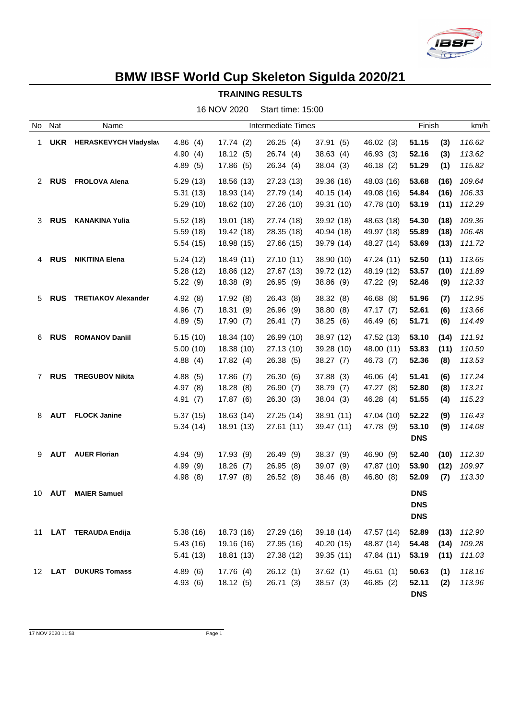

## **BMW IBSF World Cup Skeleton Sigulda 2020/21**

**TRAINING RESULTS**

|             |               |                              |                           | 16 NOV 2020 | Start time: 15:00 |            |            |            |        |        |
|-------------|---------------|------------------------------|---------------------------|-------------|-------------------|------------|------------|------------|--------|--------|
| No          | Nat           | Name                         | <b>Intermediate Times</b> |             |                   |            |            |            | Finish | km/h   |
| 1           | UKR           | <b>HERASKEVYCH Vladyslav</b> | 4.86(4)                   | 17.74(2)    | 26.25(4)          | 37.91(5)   | 46.02 (3)  | 51.15      | (3)    | 116.62 |
|             |               |                              | 4.90(4)                   | 18.12(5)    | 26.74(4)          | 38.63(4)   | 46.93 (3)  | 52.16      | (3)    | 113.62 |
|             |               |                              | 4.89(5)                   | 17.86(5)    | 26.34(4)          | 38.04(3)   | 46.18 (2)  | 51.29      | (1)    | 115.82 |
| 2           | <b>RUS</b>    | <b>FROLOVA Alena</b>         | 5.29(13)                  | 18.56 (13)  | 27.23 (13)        | 39.36 (16) | 48.03 (16) | 53.68      | (16)   | 109.64 |
|             |               |                              | 5.31(13)                  | 18.93 (14)  | 27.79 (14)        | 40.15(14)  | 49.08 (16) | 54.84      | (16)   | 106.33 |
|             |               |                              | 5.29(10)                  | 18.62 (10)  | 27.26 (10)        | 39.31 (10) | 47.78 (10) | 53.19      | (11)   | 112.29 |
| 3           | <b>RUS</b>    | <b>KANAKINA Yulia</b>        | 5.52(18)                  | 19.01 (18)  | 27.74 (18)        | 39.92 (18) | 48.63 (18) | 54.30      | (18)   | 109.36 |
|             |               |                              | 5.59(18)                  | 19.42 (18)  | 28.35 (18)        | 40.94 (18) | 49.97 (18) | 55.89      | (18)   | 106.48 |
|             |               |                              | 5.54(15)                  | 18.98 (15)  | 27.66 (15)        | 39.79 (14) | 48.27 (14) | 53.69      | (13)   | 111.72 |
| 4           | <b>RUS</b>    | <b>NIKITINA Elena</b>        | 5.24(12)                  | 18.49 (11)  | 27.10 (11)        | 38.90 (10) | 47.24 (11) | 52.50      | (11)   | 113.65 |
|             |               |                              | 5.28(12)                  | 18.86 (12)  | 27.67 (13)        | 39.72 (12) | 48.19 (12) | 53.57      | (10)   | 111.89 |
|             |               |                              | 5.22(9)                   | 18.38(9)    | 26.95 (9)         | 38.86 (9)  | 47.22 (9)  | 52.46      | (9)    | 112.33 |
| 5           | <b>RUS</b>    | <b>TRETIAKOV Alexander</b>   | 4.92(8)                   | 17.92(8)    | 26.43 (8)         | 38.32 (8)  | 46.68 (8)  | 51.96      | (7)    | 112.95 |
|             |               |                              | 4.96(7)                   | 18.31(9)    | 26.96(9)          | 38.80 (8)  | 47.17 (7)  | 52.61      | (6)    | 113.66 |
|             |               |                              | 4.89(5)                   | 17.90(7)    | 26.41 (7)         | 38.25(6)   | 46.49 (6)  | 51.71      | (6)    | 114.49 |
| 6           | <b>RUS</b>    | <b>ROMANOV Daniil</b>        | 5.15(10)                  | 18.34 (10)  | 26.99 (10)        | 38.97 (12) | 47.52 (13) | 53.10      | (14)   | 111.91 |
|             |               |                              | 5.00(10)                  | 18.38 (10)  | 27.13 (10)        | 39.28 (10) | 48.00 (11) | 53.83      | (11)   | 110.50 |
|             |               |                              | 4.88(4)                   | 17.82(4)    | 26.38 (5)         | 38.27(7)   | 46.73 (7)  | 52.36      | (8)    | 113.53 |
| $7^{\circ}$ | <b>RUS</b>    | <b>TREGUBOV Nikita</b>       | 4.88(5)                   | 17.86(7)    | 26.30(6)          | 37.88(3)   | 46.06 (4)  | 51.41      | (6)    | 117.24 |
|             |               |                              | 4.97(8)                   | 18.28(8)    | 26.90(7)          | 38.79 (7)  | 47.27 (8)  | 52.80      | (8)    | 113.21 |
|             |               |                              | 4.91(7)                   | 17.87 (6)   | 26.30(3)          | 38.04(3)   | 46.28 (4)  | 51.55      | (4)    | 115.23 |
| 8           | AUT           | <b>FLOCK Janine</b>          | 5.37(15)                  | 18.63 (14)  | 27.25 (14)        | 38.91 (11) | 47.04 (10) | 52.22      | (9)    | 116.43 |
|             |               |                              | 5.34(14)                  | 18.91 (13)  | 27.61(11)         | 39.47 (11) | 47.78 (9)  | 53.10      | (9)    | 114.08 |
|             |               |                              |                           |             |                   |            |            | <b>DNS</b> |        |        |
| 9           |               | <b>AUT</b> AUER Florian      | 4.94(9)                   | 17.93 (9)   | 26.49 (9)         | 38.37 (9)  | 46.90 (9)  | 52.40      | (10)   | 112.30 |
|             |               |                              | 4.99 (9)                  | 18.26(7)    | 26.95 (8)         | 39.07 (9)  | 47.87 (10) | 53.90      | (12)   | 109.97 |
|             |               |                              | 4.98(8)                   | 17.97 (8)   | 26.52 (8)         | 38.46 (8)  | 46.80 (8)  | 52.09      | (7)    | 113.30 |
|             | 10 <b>AUT</b> | <b>MAIER Samuel</b>          |                           |             |                   |            |            | <b>DNS</b> |        |        |
|             |               |                              |                           |             |                   |            |            | <b>DNS</b> |        |        |
|             |               |                              |                           |             |                   |            |            | <b>DNS</b> |        |        |
| 11          |               | LAT TERAUDA Endija           | 5.38(16)                  | 18.73 (16)  | 27.29 (16)        | 39.18 (14) | 47.57 (14) | 52.89      | (13)   | 112.90 |
|             |               |                              | 5.43(16)                  | 19.16 (16)  | 27.95 (16)        | 40.20 (15) | 48.87 (14) | 54.48      | (14)   | 109.28 |
|             |               |                              | 5.41(13)                  | 18.81 (13)  | 27.38 (12)        | 39.35 (11) | 47.84 (11) | 53.19      | (11)   | 111.03 |
| 12          | LAT           | <b>DUKURS Tomass</b>         | 4.89(6)                   | 17.76(4)    | 26.12(1)          | 37.62(1)   | 45.61(1)   | 50.63      | (1)    | 118.16 |
|             |               |                              | 4.93(6)                   | 18.12(5)    | 26.71 (3)         | 38.57(3)   | 46.85(2)   | 52.11      | (2)    | 113.96 |
|             |               |                              |                           |             |                   |            |            | <b>DNS</b> |        |        |